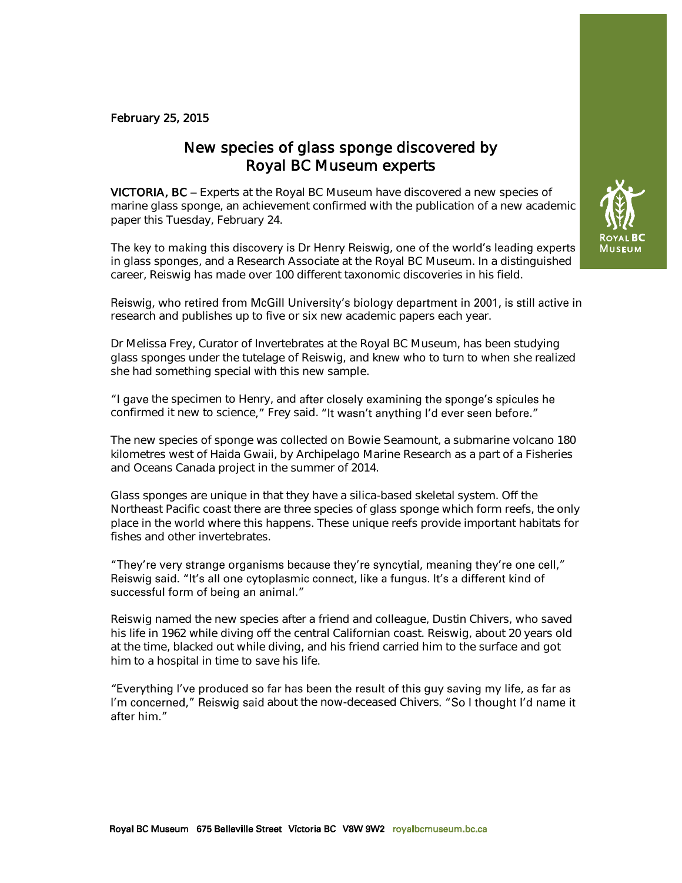### February 25, 2015

# New species of glass sponge discovered by Royal BC Museum experts

VICTORIA, BC - Experts at the Royal BC Museum have discovered a new species of marine glass sponge, an achievement confirmed with the publication of a new academic paper this Tuesday, February 24.

The key to making this discovery is Dr Henry Reiswig, one of the world's leading experts in glass sponges, and a Research Associate at the Royal BC Museum. In a distinguished career, Reiswig has made over 100 different taxonomic discoveries in his field.

Reiswig, who retired from McGill University's biology department in 2001, is still active in research and publishes up to five or six new academic papers each year.

Dr Melissa Frey, Curator of Invertebrates at the Royal BC Museum, has been studying glass sponges under the tutelage of Reiswig, and knew who to turn to when she realized she had something special with this new sample.

"I gave the specimen to Henry, and after closely examining the sponge's spicules he confirmed it new to science," Frey said. "It wasn't anything I'd ever seen before."

The new species of sponge was collected on Bowie Seamount, a submarine volcano 180 kilometres west of Haida Gwaii, by Archipelago Marine Research as a part of a Fisheries and Oceans Canada project in the summer of 2014.

Glass sponges are unique in that they have a silica-based skeletal system. Off the Northeast Pacific coast there are three species of glass sponge which form reefs, the only place in the world where this happens. These unique reefs provide important habitats for fishes and other invertebrates.

### "They're very strange organisms because they're syncytial, meaning they're one cell," Reiswig said. "It's all one cytoplasmic connect, like a fungus. It's a different kind of successful form of being an animal."

Reiswig named the new species after a friend and colleague, Dustin Chivers, who saved his life in 1962 while diving off the central Californian coast. Reiswig, about 20 years old at the time, blacked out while diving, and his friend carried him to the surface and got him to a hospital in time to save his life.

"Everything I've produced so far has been the result of this guy saving my life, as far as I'm concerned," Reiswig said about the now-deceased Chivers. "So I thought I'd name it after him."